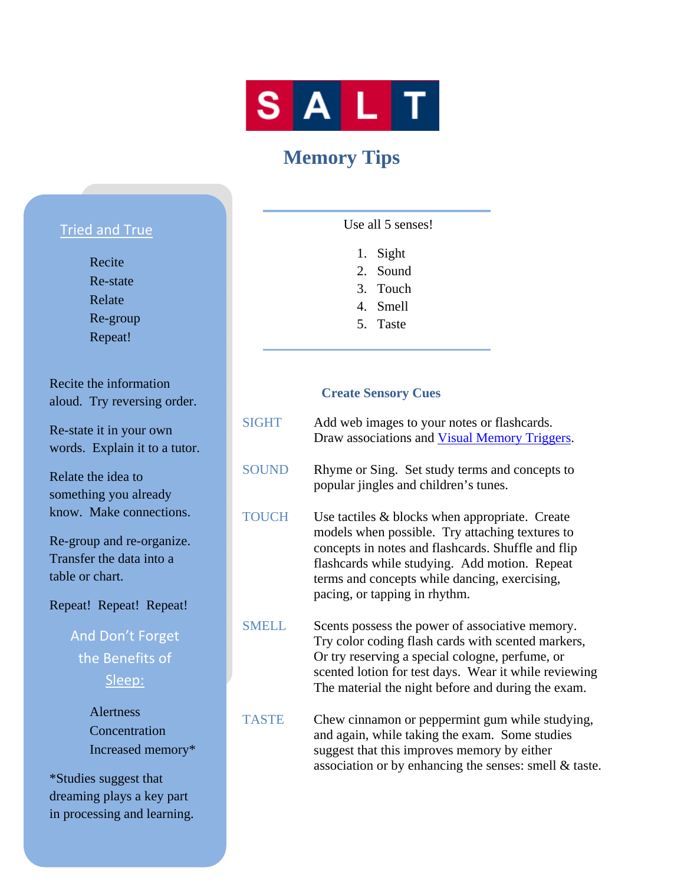

# **Memory Tips**

### Tried and True

 Recite Re-state Relate Re-group Repeat!

Recite the information aloud. Try reversing order.

Re-state it in your own words. Explain it to a tutor.

Relate the idea to something you already know. Make connections.

Re-group and re-organize. Transfer the data into a table or chart.

Repeat! Repeat! Repeat!

# And Don't Forget the Benefits of Sleep:

 Alertness **Concentration** Increased memory\*

\*Studies suggest that dreaming plays a key part in processing and learning. Use all 5 senses!

- 1. Sight
- 2. Sound
- 3. Touch
- 4. Smell
- 5. Taste

### **Create Sensory Cues**

- SIGHT Add web images to your notes or flashcards. Draw associations and Visual Memory Triggers.
- SOUND Rhyme or Sing. Set study terms and concepts to popular jingles and children's tunes.
- TOUCH Use tactiles & blocks when appropriate. Create models when possible. Try attaching textures to concepts in notes and flashcards. Shuffle and flip flashcards while studying. Add motion. Repeat terms and concepts while dancing, exercising, pacing, or tapping in rhythm.
- SMELL Scents possess the power of associative memory. Try color coding flash cards with scented markers, Or try reserving a special cologne, perfume, or scented lotion for test days. Wear it while reviewing The material the night before and during the exam.
- TASTE Chew cinnamon or peppermint gum while studying, and again, while taking the exam. Some studies suggest that this improves memory by either association or by enhancing the senses: smell & taste.